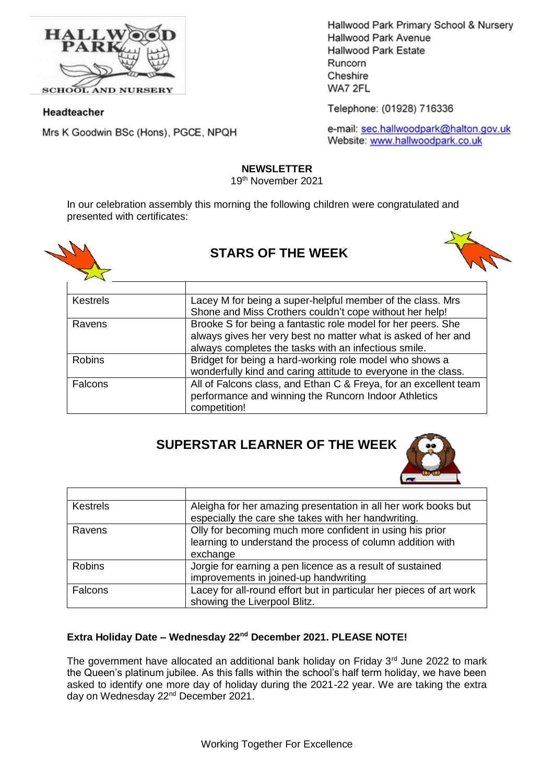

**SCHOOL AND NURSERY** 

### Headteacher

Mrs K Goodwin BSc (Hons), PGCE, NPQH

Hallwood Park Primary School & Nursery Hallwood Park Avenue Hallwood Park Estate Runcorn Cheshire WA7 2FL

Telephone: (01928) 716336

e-mail: sec.hallwoodpark@halton.gov.uk Website: www.hallwoodpark.co.uk

## **NEWSLETTER**

19th November 2021

In our celebration assembly this morning the following children were congratulated and presented with certificates:



# **STARS OF THE WEEK**



| Kestrels      | Lacey M for being a super-helpful member of the class. Mrs       |
|---------------|------------------------------------------------------------------|
|               | Shone and Miss Crothers couldn't cope without her help!          |
| Ravens        | Brooke S for being a fantastic role model for her peers. She     |
|               | always gives her very best no matter what is asked of her and    |
|               | always completes the tasks with an infectious smile.             |
| <b>Robins</b> | Bridget for being a hard-working role model who shows a          |
|               | wonderfully kind and caring attitude to everyone in the class.   |
| Falcons       | All of Falcons class, and Ethan C & Freya, for an excellent team |
|               | performance and winning the Runcorn Indoor Athletics             |
|               | competition!                                                     |

# **SUPERSTAR LEARNER OF THE WEEK**



| <b>Kestrels</b> | Aleigha for her amazing presentation in all her work books but      |
|-----------------|---------------------------------------------------------------------|
|                 | especially the care she takes with her handwriting.                 |
| Ravens          | Olly for becoming much more confident in using his prior            |
|                 | learning to understand the process of column addition with          |
|                 | exchange                                                            |
| <b>Robins</b>   | Jorgie for earning a pen licence as a result of sustained           |
|                 | improvements in joined-up handwriting                               |
| Falcons         | Lacey for all-round effort but in particular her pieces of art work |
|                 | showing the Liverpool Blitz.                                        |

## **Extra Holiday Date – Wednesday 22nd December 2021. PLEASE NOTE!**

The government have allocated an additional bank holiday on Friday  $3<sup>rd</sup>$  June 2022 to mark the Queen's platinum jubilee. As this falls within the school's half term holiday, we have been asked to identify one more day of holiday during the 2021-22 year. We are taking the extra day on Wednesday 22<sup>nd</sup> December 2021.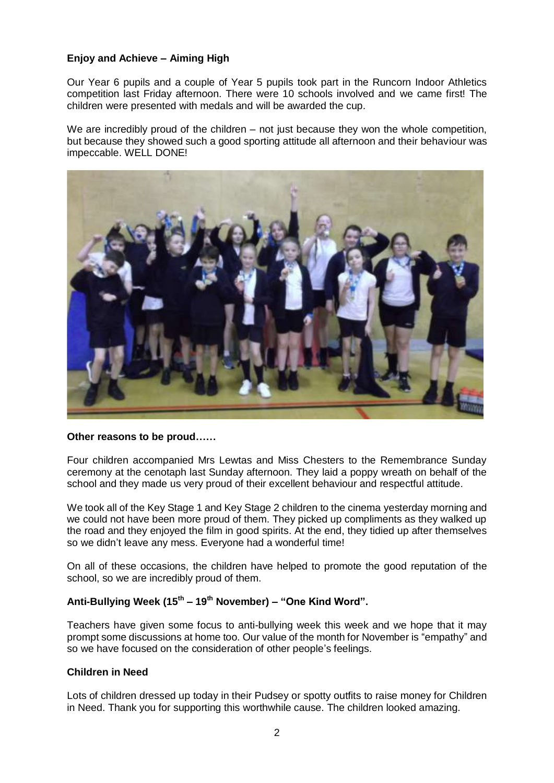## **Enjoy and Achieve – Aiming High**

Our Year 6 pupils and a couple of Year 5 pupils took part in the Runcorn Indoor Athletics competition last Friday afternoon. There were 10 schools involved and we came first! The children were presented with medals and will be awarded the cup.

We are incredibly proud of the children – not just because they won the whole competition, but because they showed such a good sporting attitude all afternoon and their behaviour was impeccable. WELL DONE!



#### **Other reasons to be proud……**

Four children accompanied Mrs Lewtas and Miss Chesters to the Remembrance Sunday ceremony at the cenotaph last Sunday afternoon. They laid a poppy wreath on behalf of the school and they made us very proud of their excellent behaviour and respectful attitude.

We took all of the Key Stage 1 and Key Stage 2 children to the cinema yesterday morning and we could not have been more proud of them. They picked up compliments as they walked up the road and they enjoyed the film in good spirits. At the end, they tidied up after themselves so we didn't leave any mess. Everyone had a wonderful time!

On all of these occasions, the children have helped to promote the good reputation of the school, so we are incredibly proud of them.

## **Anti-Bullying Week (15th – 19th November) – "One Kind Word".**

Teachers have given some focus to anti-bullying week this week and we hope that it may prompt some discussions at home too. Our value of the month for November is "empathy" and so we have focused on the consideration of other people's feelings.

## **Children in Need**

Lots of children dressed up today in their Pudsey or spotty outfits to raise money for Children in Need. Thank you for supporting this worthwhile cause. The children looked amazing.